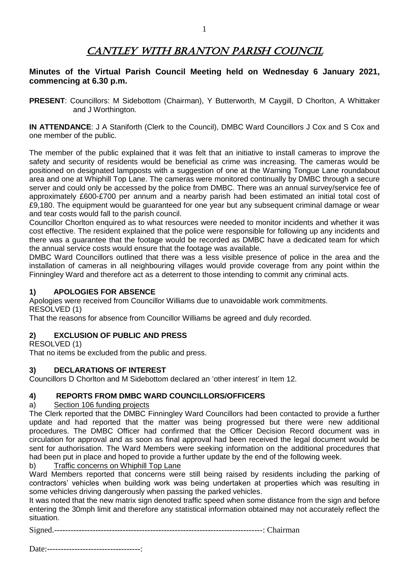# CANTLEY WITH BRANTON PARISH COUNCIL

## **Minutes of the Virtual Parish Council Meeting held on Wednesday 6 January 2021, commencing at 6.30 p.m.**

**PRESENT**: Councillors: M Sidebottom (Chairman), Y Butterworth, M Caygill, D Chorlton, A Whittaker and J Worthington.

**IN ATTENDANCE:** J A Staniforth (Clerk to the Council), DMBC Ward Councillors J Cox and S Cox and one member of the public.

The member of the public explained that it was felt that an initiative to install cameras to improve the safety and security of residents would be beneficial as crime was increasing. The cameras would be positioned on designated lampposts with a suggestion of one at the Warning Tongue Lane roundabout area and one at Whiphill Top Lane. The cameras were monitored continually by DMBC through a secure server and could only be accessed by the police from DMBC. There was an annual survey/service fee of approximately £600-£700 per annum and a nearby parish had been estimated an initial total cost of £9,180. The equipment would be guaranteed for one year but any subsequent criminal damage or wear and tear costs would fall to the parish council.

Councillor Chorlton enquired as to what resources were needed to monitor incidents and whether it was cost effective. The resident explained that the police were responsible for following up any incidents and there was a guarantee that the footage would be recorded as DMBC have a dedicated team for which the annual service costs would ensure that the footage was available.

DMBC Ward Councillors outlined that there was a less visible presence of police in the area and the installation of cameras in all neighbouring villages would provide coverage from any point within the Finningley Ward and therefore act as a deterrent to those intending to commit any criminal acts.

#### **1) APOLOGIES FOR ABSENCE**

Apologies were received from Councillor Williams due to unavoidable work commitments. RESOLVED (1)

That the reasons for absence from Councillor Williams be agreed and duly recorded.

## **2) EXCLUSION OF PUBLIC AND PRESS**

RESOLVED (1)

That no items be excluded from the public and press.

#### **3) DECLARATIONS OF INTEREST**

Councillors D Chorlton and M Sidebottom declared an 'other interest' in Item 12.

## **4) REPORTS FROM DMBC WARD COUNCILLORS/OFFICERS**

#### a) Section 106 funding projects

The Clerk reported that the DMBC Finningley Ward Councillors had been contacted to provide a further update and had reported that the matter was being progressed but there were new additional procedures. The DMBC Officer had confirmed that the Officer Decision Record document was in circulation for approval and as soon as final approval had been received the legal document would be sent for authorisation. The Ward Members were seeking information on the additional procedures that had been put in place and hoped to provide a further update by the end of the following week.

b) Traffic concerns on Whiphill Top Lane

Ward Members reported that concerns were still being raised by residents including the parking of contractors' vehicles when building work was being undertaken at properties which was resulting in some vehicles driving dangerously when passing the parked vehicles.

It was noted that the new matrix sign denoted traffic speed when some distance from the sign and before entering the 30mph limit and therefore any statistical information obtained may not accurately reflect the situation.

Signed.----------------------------------------------------------------------------: Chairman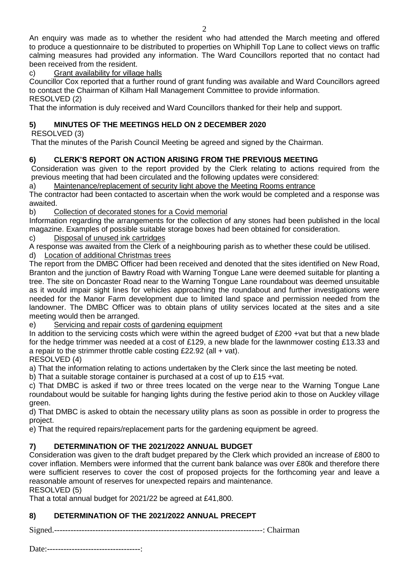An enquiry was made as to whether the resident who had attended the March meeting and offered to produce a questionnaire to be distributed to properties on Whiphill Top Lane to collect views on traffic calming measures had provided any information. The Ward Councillors reported that no contact had been received from the resident.

# c) Grant availability for village halls

Councillor Cox reported that a further round of grant funding was available and Ward Councillors agreed to contact the Chairman of Kilham Hall Management Committee to provide information. RESOLVED (2)

That the information is duly received and Ward Councillors thanked for their help and support.

# **5) MINUTES OF THE MEETINGS HELD ON 2 DECEMBER 2020**

RESOLVED (3)

That the minutes of the Parish Council Meeting be agreed and signed by the Chairman.

# **6) CLERK'S REPORT ON ACTION ARISING FROM THE PREVIOUS MEETING**

Consideration was given to the report provided by the Clerk relating to actions required from the previous meeting that had been circulated and the following updates were considered:

a) Maintenance/replacement of security light above the Meeting Rooms entrance

The contractor had been contacted to ascertain when the work would be completed and a response was awaited.

b) Collection of decorated stones for a Covid memorial

Information regarding the arrangements for the collection of any stones had been published in the local magazine. Examples of possible suitable storage boxes had been obtained for consideration.

c) Disposal of unused ink cartridges

A response was awaited from the Clerk of a neighbouring parish as to whether these could be utilised.

d) Location of additional Christmas trees

The report from the DMBC Officer had been received and denoted that the sites identified on New Road, Branton and the junction of Bawtry Road with Warning Tongue Lane were deemed suitable for planting a tree. The site on Doncaster Road near to the Warning Tongue Lane roundabout was deemed unsuitable as it would impair sight lines for vehicles approaching the roundabout and further investigations were needed for the Manor Farm development due to limited land space and permission needed from the landowner. The DMBC Officer was to obtain plans of utility services located at the sites and a site meeting would then be arranged.

e) Servicing and repair costs of gardening equipment

In addition to the servicing costs which were within the agreed budget of £200 +vat but that a new blade for the hedge trimmer was needed at a cost of £129, a new blade for the lawnmower costing £13.33 and a repair to the strimmer throttle cable costing £22.92 (all + vat).

## RESOLVED (4)

a) That the information relating to actions undertaken by the Clerk since the last meeting be noted.

b) That a suitable storage container is purchased at a cost of up to £15 +vat.

c) That DMBC is asked if two or three trees located on the verge near to the Warning Tongue Lane roundabout would be suitable for hanging lights during the festive period akin to those on Auckley village green.

d) That DMBC is asked to obtain the necessary utility plans as soon as possible in order to progress the project.

e) That the required repairs/replacement parts for the gardening equipment be agreed.

# **7) DETERMINATION OF THE 2021/2022 ANNUAL BUDGET**

Consideration was given to the draft budget prepared by the Clerk which provided an increase of £800 to cover inflation. Members were informed that the current bank balance was over £80k and therefore there were sufficient reserves to cover the cost of proposed projects for the forthcoming year and leave a reasonable amount of reserves for unexpected repairs and maintenance. RESOLVED (5)

That a total annual budget for 2021/22 be agreed at £41,800.

# **8) DETERMINATION OF THE 2021/2022 ANNUAL PRECEPT**

Signed.----------------------------------------------------------------------------: Chairman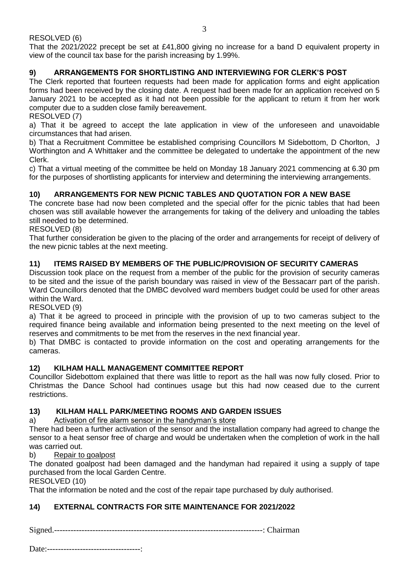RESOLVED (6)

That the 2021/2022 precept be set at £41,800 giving no increase for a band D equivalent property in view of the council tax base for the parish increasing by 1.99%.

## **9) ARRANGEMENTS FOR SHORTLISTING AND INTERVIEWING FOR CLERK'S POST**

The Clerk reported that fourteen requests had been made for application forms and eight application forms had been received by the closing date. A request had been made for an application received on 5 January 2021 to be accepted as it had not been possible for the applicant to return it from her work computer due to a sudden close family bereavement.

#### RESOLVED (7)

a) That it be agreed to accept the late application in view of the unforeseen and unavoidable circumstances that had arisen.

b) That a Recruitment Committee be established comprising Councillors M Sidebottom, D Chorlton, J Worthington and A Whittaker and the committee be delegated to undertake the appointment of the new Clerk.

c) That a virtual meeting of the committee be held on Monday 18 January 2021 commencing at 6.30 pm for the purposes of shortlisting applicants for interview and determining the interviewing arrangements.

#### **10) ARRANGEMENTS FOR NEW PICNIC TABLES AND QUOTATION FOR A NEW BASE**

The concrete base had now been completed and the special offer for the picnic tables that had been chosen was still available however the arrangements for taking of the delivery and unloading the tables still needed to be determined.

#### RESOLVED (8)

That further consideration be given to the placing of the order and arrangements for receipt of delivery of the new picnic tables at the next meeting.

#### **11) ITEMS RAISED BY MEMBERS OF THE PUBLIC/PROVISION OF SECURITY CAMERAS**

Discussion took place on the request from a member of the public for the provision of security cameras to be sited and the issue of the parish boundary was raised in view of the Bessacarr part of the parish. Ward Councillors denoted that the DMBC devolved ward members budget could be used for other areas within the Ward.

#### RESOLVED (9)

a) That it be agreed to proceed in principle with the provision of up to two cameras subject to the required finance being available and information being presented to the next meeting on the level of reserves and commitments to be met from the reserves in the next financial year.

b) That DMBC is contacted to provide information on the cost and operating arrangements for the cameras.

#### **12) KILHAM HALL MANAGEMENT COMMITTEE REPORT**

Councillor Sidebottom explained that there was little to report as the hall was now fully closed. Prior to Christmas the Dance School had continues usage but this had now ceased due to the current restrictions.

#### **13) KILHAM HALL PARK/MEETING ROOMS AND GARDEN ISSUES**

a) Activation of fire alarm sensor in the handyman's store

There had been a further activation of the sensor and the installation company had agreed to change the sensor to a heat sensor free of charge and would be undertaken when the completion of work in the hall was carried out.

#### b) Repair to goalpost

The donated goalpost had been damaged and the handyman had repaired it using a supply of tape purchased from the local Garden Centre.

RESOLVED (10)

That the information be noted and the cost of the repair tape purchased by duly authorised.

#### **14) EXTERNAL CONTRACTS FOR SITE MAINTENANCE FOR 2021/2022**

Signed.----------------------------------------------------------------------------: Chairman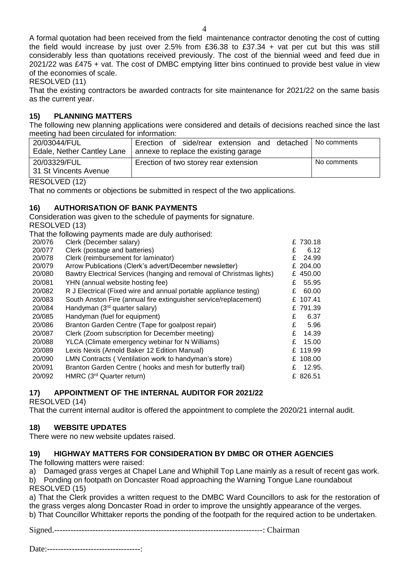A formal quotation had been received from the field maintenance contractor denoting the cost of cutting the field would increase by just over 2.5% from £36.38 to £37.34 + vat per cut but this was still considerably less than quotations received previously. The cost of the biennial weed and feed due in 2021/22 was £475 + vat. The cost of DMBC emptying litter bins continued to provide best value in view of the economies of scale.

RESOLVED (11)

That the existing contractors be awarded contracts for site maintenance for 2021/22 on the same basis as the current year.

## **15) PLANNING MATTERS**

The following new planning applications were considered and details of decisions reached since the last meeting had been circulated for information:

| 20/03044/FUL               | Erection of side/rear extension and detached | ⊿ I No comments |
|----------------------------|----------------------------------------------|-----------------|
| Edale, Nether Cantley Lane | annexe to replace the existing garage        |                 |
| 20/03329/FUL               | Erection of two storey rear extension        | No comments     |
| 31 St Vincents Avenue      |                                              |                 |
|                            |                                              |                 |

RESOLVED (12)

That no comments or objections be submitted in respect of the two applications.

#### **16) AUTHORISATION OF BANK PAYMENTS**

Consideration was given to the schedule of payments for signature.

RESOLVED (13)

That the following payments made are duly authorised:

| Clerk (December salary)                                           |                                                                      | £730.18     |
|-------------------------------------------------------------------|----------------------------------------------------------------------|-------------|
| Clerk (postage and batteries)                                     | £                                                                    | 6.12        |
| Clerk (reimbursement for laminator)                               | £                                                                    | 24.99       |
| Arrow Publications (Clerk's advert/December newsletter)           |                                                                      | £ 204.00    |
|                                                                   |                                                                      | £ 450.00    |
| YHN (annual website hosting fee)                                  |                                                                      | 55.95       |
| R J Electrical (Fixed wire and annual portable appliance testing) |                                                                      | 60.00       |
| South Anston Fire (annual fire extinguisher service/replacement)  |                                                                      | £ 107.41    |
| Handyman (3rd quarter salary)                                     |                                                                      | £791.39     |
| Handyman (fuel for equipment)                                     | £                                                                    | 6.37        |
| Branton Garden Centre (Tape for goalpost repair)                  | £                                                                    | 5.96        |
| Clerk (Zoom subscription for December meeting)                    | £                                                                    | 14.39       |
| YLCA (Climate emergency webinar for N Williams)                   |                                                                      | 15.00       |
| Lexis Nexis (Arnold Baker 12 Edition Manual)                      |                                                                      | £ 119.99    |
| LMN Contracts (Ventilation work to handyman's store)              |                                                                      | £ 108.00    |
| Branton Garden Centre (hooks and mesh for butterfly trail)        | £                                                                    | 12.95.      |
| HMRC (3 <sup>rd</sup> Quarter return)                             |                                                                      | £ 826.51    |
|                                                                   | Bawtry Electrical Services (hanging and removal of Christmas lights) | £<br>£<br>£ |

## **17) APPOINTMENT OF THE INTERNAL AUDITOR FOR 2021/22**

RESOLVED (14)

That the current internal auditor is offered the appointment to complete the 2020/21 internal audit.

## **18) WEBSITE UPDATES**

There were no new website updates raised.

## **19) HIGHWAY MATTERS FOR CONSIDERATION BY DMBC OR OTHER AGENCIES**

The following matters were raised:

a) Damaged grass verges at Chapel Lane and Whiphill Top Lane mainly as a result of recent gas work. b) Ponding on footpath on Doncaster Road approaching the Warning Tongue Lane roundabout RESOLVED (15)

a) That the Clerk provides a written request to the DMBC Ward Councillors to ask for the restoration of the grass verges along Doncaster Road in order to improve the unsightly appearance of the verges. b) That Councillor Whittaker reports the ponding of the footpath for the required action to be undertaken.

Signed.----------------------------------------------------------------------------: Chairman